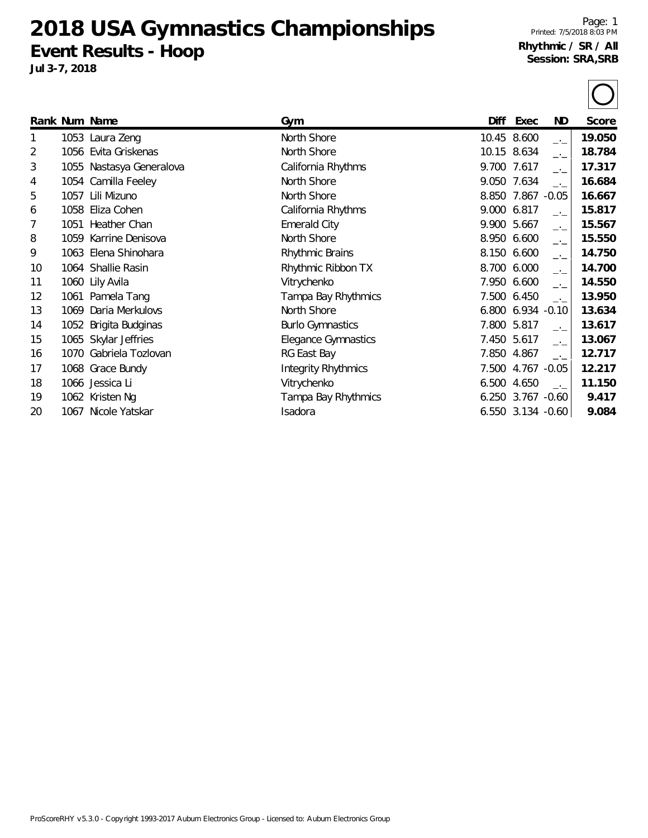**2018 USA Gymnastics Championships Event Results - Hoop**

**Jul 3-7, 2018**

 $\bigcap$ 

|    |      | Rank Num Name            | Gym                        | Diff        | Exec              | ND                       | Score  |
|----|------|--------------------------|----------------------------|-------------|-------------------|--------------------------|--------|
| 1  |      | 1053 Laura Zeng          | North Shore                |             | 10.45 8.600       | $-1$                     | 19.050 |
| 2  |      | 1056 Evita Griskenas     | North Shore                |             | 10.15 8.634       | $\overline{\phantom{a}}$ | 18.784 |
| 3  |      | 1055 Nastasya Generalova | California Rhythms         | 9.700 7.617 |                   | $-1$                     | 17.317 |
| 4  |      | 1054 Camilla Feeley      | North Shore                | 9.050       | 7.634             | $-1$                     | 16.684 |
| 5  | 1057 | Lili Mizuno              | North Shore                |             | 8.850 7.867       | $-0.05$                  | 16.667 |
| 6  | 1058 | Eliza Cohen              | California Rhythms         | 9.000       | 6.817             | $-1$                     | 15.817 |
| 7  | 1051 | Heather Chan             | <b>Emerald City</b>        |             | 9.900 5.667       | $-1$                     | 15.567 |
| 8  |      | 1059 Karrine Denisova    | North Shore                | 8.950       | 6.600             | $ -$                     | 15.550 |
| 9  |      | 1063 Elena Shinohara     | Rhythmic Brains            |             | 8.150 6.600       | $-1$                     | 14.750 |
| 10 |      | 1064 Shallie Rasin       | Rhythmic Ribbon TX         | 8.700       | 6.000             | $-1$                     | 14.700 |
| 11 |      | 1060 Lily Avila          | Vitrychenko                | 7.950       | 6.600             | $-1$                     | 14.550 |
| 12 |      | 1061 Pamela Tang         | Tampa Bay Rhythmics        |             | 7.500 6.450       | $-1$                     | 13.950 |
| 13 | 1069 | Daria Merkulovs          | North Shore                | 6.800       | $6.934 - 0.10$    |                          | 13.634 |
| 14 | 1052 | Brigita Budginas         | <b>Burlo Gymnastics</b>    | 7.800       | 5.817             | $\rightarrow$            | 13.617 |
| 15 |      | 1065 Skylar Jeffries     | <b>Elegance Gymnastics</b> |             | 7.450 5.617       | $-1$                     | 13.067 |
| 16 |      | 1070 Gabriela Tozlovan   | RG East Bay                | 7.850       | 4.867             | $-1$                     | 12.717 |
| 17 |      | 1068 Grace Bundy         | <b>Integrity Rhythmics</b> | 7.500       | 4.767 -0.05       |                          | 12.217 |
| 18 |      | 1066 Jessica Li          | Vitrychenko                | 6.500       | 4.650             | $-1$                     | 11.150 |
| 19 |      | 1062 Kristen Ng          | Tampa Bay Rhythmics        |             | 6.250 3.767 -0.60 |                          | 9.417  |
| 20 |      | 1067 Nicole Yatskar      | Isadora                    |             | 6.550 3.134 -0.60 |                          | 9.084  |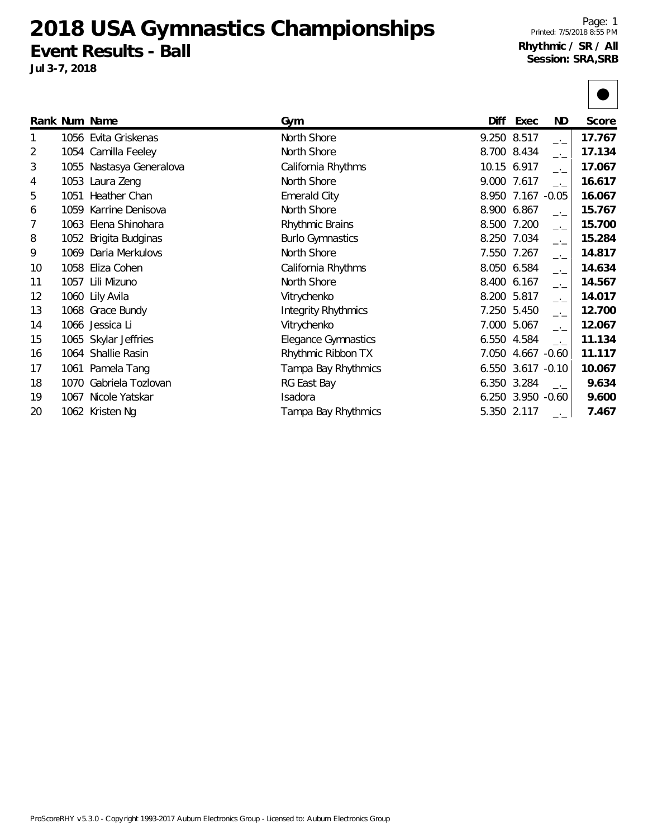**2018 USA Gymnastics Championships Event Results - Ball**

**Jul 3-7, 2018**

|    |      | Rank Num Name            | Gym                        | Diff  | Exec           | ND.                         | Score  |
|----|------|--------------------------|----------------------------|-------|----------------|-----------------------------|--------|
|    |      | 1056 Evita Griskenas     | North Shore                |       | 9.250 8.517    | $\overline{a}$              | 17.767 |
| 2  |      | 1054 Camilla Feeley      | North Shore                | 8.700 | 8.434          | $\overline{\phantom{a}}$    | 17.134 |
| 3  |      | 1055 Nastasya Generalova | California Rhythms         |       | 10.15 6.917    | $-1$                        | 17.067 |
| 4  |      | 1053 Laura Zeng          | North Shore                |       | 9.000 7.617    | $\overline{\phantom{a}}$    | 16.617 |
| 5  | 1051 | Heather Chan             | <b>Emerald City</b>        | 8.950 | 7.167          | $-0.05$                     | 16.067 |
| 6  |      | 1059 Karrine Denisova    | North Shore                | 8.900 | 6.867          | $-1$                        | 15.767 |
| 7  |      | 1063 Elena Shinohara     | Rhythmic Brains            | 8.500 | 7.200          | $\rightarrow$ $\rightarrow$ | 15.700 |
| 8  |      | 1052 Brigita Budginas    | <b>Burlo Gymnastics</b>    | 8.250 | 7.034          | $-1$                        | 15.284 |
| 9  | 1069 | Daria Merkulovs          | North Shore                | 7.550 | 7.267          | $\rightarrow$ $\rightarrow$ | 14.817 |
| 10 | 1058 | Eliza Cohen              | California Rhythms         | 8.050 | 6.584          | $\overline{\phantom{a}}$    | 14.634 |
| 11 |      | 1057 Lili Mizuno         | North Shore                | 8.400 | 6.167          | $-1$                        | 14.567 |
| 12 |      | 1060 Lily Avila          | Vitrychenko                | 8.200 | 5.817          | $-1$                        | 14.017 |
| 13 |      | 1068 Grace Bundy         | <b>Integrity Rhythmics</b> | 7.250 | 5.450          | $\rightarrow$ $\rightarrow$ | 12.700 |
| 14 |      | 1066 Jessica Li          | Vitrychenko                | 7.000 | 5.067          | $-1$                        | 12.067 |
| 15 |      | 1065 Skylar Jeffries     | <b>Elegance Gymnastics</b> | 6.550 | 4.584          | $-1$                        | 11.134 |
| 16 |      | 1064 Shallie Rasin       | Rhythmic Ribbon TX         | 7.050 | 4.667 -0.60    |                             | 11.117 |
| 17 |      | 1061 Pamela Tang         | Tampa Bay Rhythmics        | 6.550 | $3.617 - 0.10$ |                             | 10.067 |
| 18 | 1070 | Gabriela Tozlovan        | RG East Bay                | 6.350 | 3.284          | $-1$                        | 9.634  |
| 19 | 1067 | Nicole Yatskar           | Isadora                    | 6.250 | $3.950 -0.60$  |                             | 9.600  |
| 20 |      | 1062 Kristen Ng          | Tampa Bay Rhythmics        |       | 5.350 2.117    |                             | 7.467  |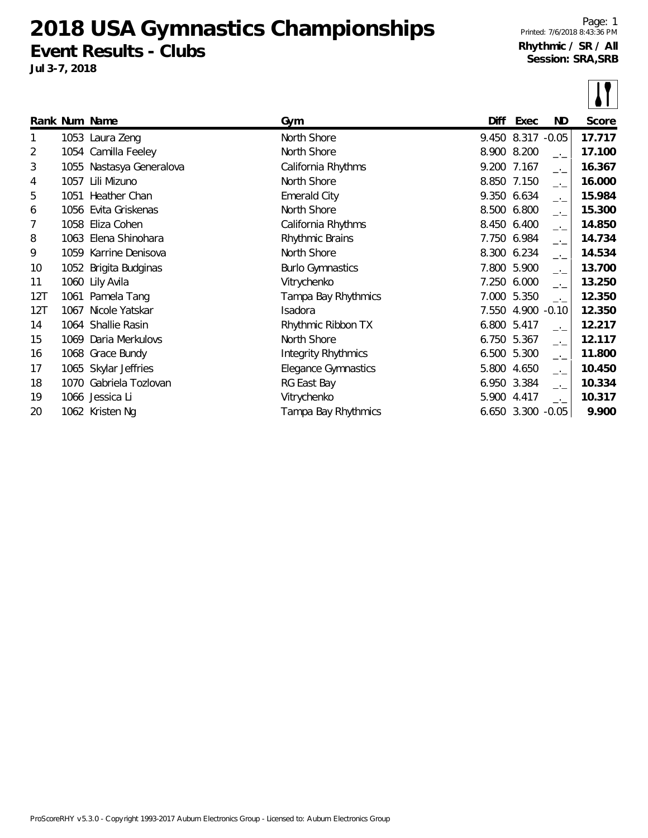**2018 USA Gymnastics Championships Event Results - Clubs**

**Jul 3-7, 2018**

|     |      | Rank Num Name            | Gym                        | Diff  | Exec              | ND.           | Score  |
|-----|------|--------------------------|----------------------------|-------|-------------------|---------------|--------|
| 1   |      | 1053 Laura Zeng          | North Shore                |       | 9.450 8.317       | $-0.05$       | 17.717 |
| 2   |      | 1054 Camilla Feeley      | North Shore                |       | 8.900 8.200       | $\rightarrow$ | 17.100 |
| 3   |      | 1055 Nastasya Generalova | California Rhythms         |       | 9.200 7.167       | $\rightarrow$ | 16.367 |
| 4   | 1057 | Lili Mizuno              | North Shore                | 8.850 | 7.150             | $-1$          | 16.000 |
| 5   | 1051 | Heather Chan             | <b>Emerald City</b>        | 9.350 | 6.634             | $-1$          | 15.984 |
| 6   | 1056 | Evita Griskenas          | North Shore                | 8.500 | 6.800             | $-1$          | 15.300 |
| 7   | 1058 | Eliza Cohen              | California Rhythms         |       | 8.450 6.400       | $-1$          | 14.850 |
| 8   |      | 1063 Elena Shinohara     | Rhythmic Brains            | 7.750 | 6.984             | $-1$          | 14.734 |
| 9   |      | 1059 Karrine Denisova    | North Shore                |       | 8.300 6.234       | $-1$          | 14.534 |
| 10  |      | 1052 Brigita Budginas    | <b>Burlo Gymnastics</b>    |       | 7.800 5.900       | $-1$          | 13.700 |
| 11  |      | 1060 Lily Avila          | Vitrychenko                | 7.250 | 6.000             | $-1$          | 13.250 |
| 12T | 1061 | Pamela Tang              | Tampa Bay Rhythmics        | 7.000 | 5.350             | $\rightarrow$ | 12.350 |
| 12T | 1067 | Nicole Yatskar           | <b>Isadora</b>             | 7.550 | 4.900             | $-0.10$       | 12.350 |
| 14  |      | 1064 Shallie Rasin       | Rhythmic Ribbon TX         | 6.800 | 5.417             | $-1$          | 12.217 |
| 15  |      | 1069 Daria Merkulovs     | North Shore                | 6.750 | 5.367             | $-1$          | 12.117 |
| 16  |      | 1068 Grace Bundy         | <b>Integrity Rhythmics</b> | 6.500 | 5.300             | $\rightarrow$ | 11.800 |
| 17  |      | 1065 Skylar Jeffries     | <b>Elegance Gymnastics</b> | 5.800 | 4.650             | $-1$          | 10.450 |
| 18  |      | 1070 Gabriela Tozlovan   | RG East Bay                | 6.950 | 3.384             | —'—           | 10.334 |
| 19  |      | 1066 Jessica Li          | Vitrychenko                | 5.900 | 4.417             | $-1$          | 10.317 |
| 20  |      | 1062 Kristen Ng          | Tampa Bay Rhythmics        |       | 6.650 3.300 -0.05 |               | 9.900  |